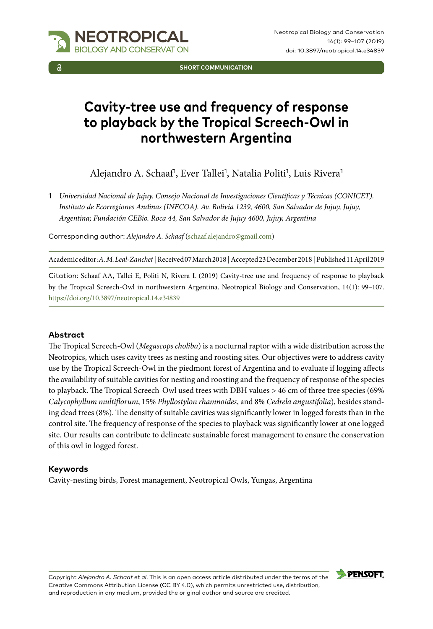

**SHORT COMMUNICATION**

# **Cavity-tree use and frequency of response to playback by the Tropical Screech-Owl in northwestern Argentina**

Alejandro A. Schaaf<sup>1</sup>, Ever Tallei<sup>1</sup>, Natalia Politi<sup>1</sup>, Luis Rivera<sup>1</sup>

1 *Universidad Nacional de Jujuy. Consejo Nacional de Investigaciones Científicas y Técnicas (CONICET). Instituto de Ecorregiones Andinas (INECOA). Av. Bolivia 1239, 4600, San Salvador de Jujuy, Jujuy, Argentina; Fundación CEBio. Roca 44, San Salvador de Jujuy 4600, Jujuy, Argentina*

Corresponding author: *Alejandro A. Schaaf* [\(schaaf.alejandro@gmail.com\)](mailto:schaaf.alejandro@gmail.com)

Academic editor: *A. M. Leal-Zanchet* | Received 07 March 2018 | Accepted 23 December 2018 | Published 11 April 2019

Citation: Schaaf AA, Tallei E, Politi N, Rivera L (2019) Cavity-tree use and frequency of response to playback by the Tropical Screech-Owl in northwestern Argentina. Neotropical Biology and Conservation, 14(1): 99–107. <https://doi.org/10.3897/neotropical.14.e34839>

#### **Abstract**

The Tropical Screech-Owl (*Megascops choliba*) is a nocturnal raptor with a wide distribution across the Neotropics, which uses cavity trees as nesting and roosting sites. Our objectives were to address cavity use by the Tropical Screech-Owl in the piedmont forest of Argentina and to evaluate if logging affects the availability of suitable cavities for nesting and roosting and the frequency of response of the species to playback. The Tropical Screech-Owl used trees with DBH values > 46 cm of three tree species (69% *Calycophyllum multiflorum*, 15% *Phyllostylon rhamnoides*, and 8% *Cedrela angustifolia*), besides standing dead trees (8%). The density of suitable cavities was significantly lower in logged forests than in the control site. The frequency of response of the species to playback was significantly lower at one logged site. Our results can contribute to delineate sustainable forest management to ensure the conservation of this owl in logged forest.

#### **Keywords**

Cavity-nesting birds, Forest management, Neotropical Owls, Yungas, Argentina



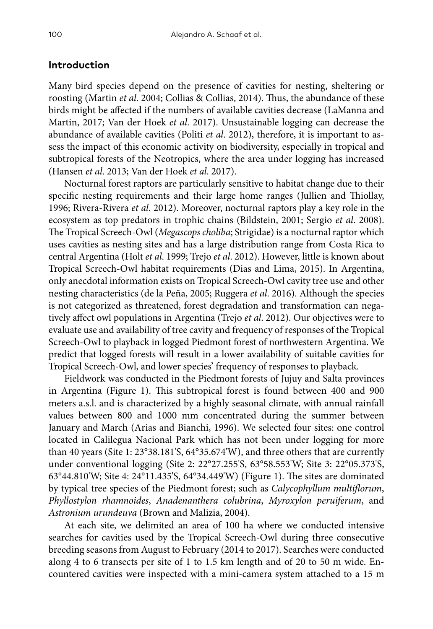#### **Introduction**

Many bird species depend on the presence of cavities for nesting, sheltering or roosting (Martin *et al*. 2004; Collias & Collias, 2014). Thus, the abundance of these birds might be affected if the numbers of available cavities decrease (LaManna and Martin, 2017; Van der Hoek *et al*. 2017). Unsustainable logging can decrease the abundance of available cavities (Politi *et al*. 2012), therefore, it is important to assess the impact of this economic activity on biodiversity, especially in tropical and subtropical forests of the Neotropics, where the area under logging has increased (Hansen *et al*. 2013; Van der Hoek *et al*. 2017).

Nocturnal forest raptors are particularly sensitive to habitat change due to their specific nesting requirements and their large home ranges (Jullien and Thiollay, 1996; Rivera-Rivera *et al*. 2012). Moreover, nocturnal raptors play a key role in the ecosystem as top predators in trophic chains (Bildstein, 2001; Sergio *et al*. 2008). The Tropical Screech-Owl (*Megascops choliba*; Strigidae) is a nocturnal raptor which uses cavities as nesting sites and has a large distribution range from Costa Rica to central Argentina (Holt *et al*. 1999; Trejo *et al*. 2012). However, little is known about Tropical Screech-Owl habitat requirements (Dias and Lima, 2015). In Argentina, only anecdotal information exists on Tropical Screech-Owl cavity tree use and other nesting characteristics (de la Peña, 2005; Ruggera *et al*. 2016). Although the species is not categorized as threatened, forest degradation and transformation can negatively affect owl populations in Argentina (Trejo *et al*. 2012). Our objectives were to evaluate use and availability of tree cavity and frequency of responses of the Tropical Screech-Owl to playback in logged Piedmont forest of northwestern Argentina. We predict that logged forests will result in a lower availability of suitable cavities for Tropical Screech-Owl, and lower species' frequency of responses to playback.

Fieldwork was conducted in the Piedmont forests of Jujuy and Salta provinces in Argentina (Figure 1). This subtropical forest is found between 400 and 900 meters a.s.l. and is characterized by a highly seasonal climate, with annual rainfall values between 800 and 1000 mm concentrated during the summer between January and March (Arias and Bianchi, 1996). We selected four sites: one control located in Calilegua Nacional Park which has not been under logging for more than 40 years (Site 1: 23°38.181'S, 64°35.674'W), and three others that are currently under conventional logging (Site 2: 22°27.255'S, 63°58.553'W; Site 3: 22°05.373'S, 63°44.810'W; Site 4: 24°11.435'S, 64°34.449'W) (Figure 1). The sites are dominated by typical tree species of the Piedmont forest; such as *Calycophyllum multiflorum*, *Phyllostylon rhamnoides*, *Anadenanthera colubrina*, *Myroxylon peruiferum*, and *Astronium urundeuva* (Brown and Malizia, 2004).

At each site, we delimited an area of 100 ha where we conducted intensive searches for cavities used by the Tropical Screech-Owl during three consecutive breeding seasons from August to February (2014 to 2017). Searches were conducted along 4 to 6 transects per site of 1 to 1.5 km length and of 20 to 50 m wide. Encountered cavities were inspected with a mini-camera system attached to a 15 m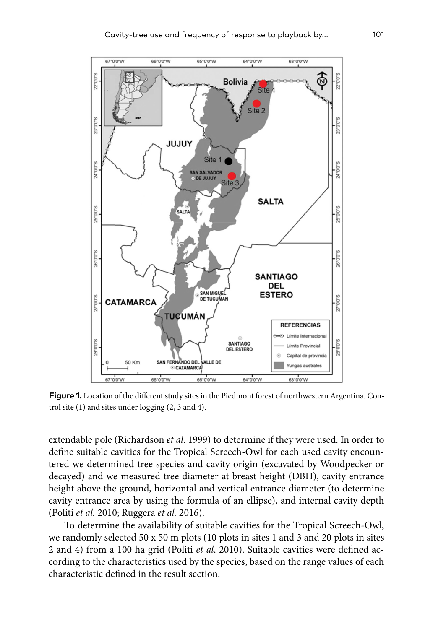

**Figure 1.** Location of the different study sites in the Piedmont forest of northwestern Argentina. Control site (1) and sites under logging (2, 3 and 4).

extendable pole (Richardson *et al*. 1999) to determine if they were used. In order to define suitable cavities for the Tropical Screech-Owl for each used cavity encountered we determined tree species and cavity origin (excavated by Woodpecker or decayed) and we measured tree diameter at breast height (DBH), cavity entrance height above the ground, horizontal and vertical entrance diameter (to determine cavity entrance area by using the formula of an ellipse), and internal cavity depth (Politi *et al.* 2010; Ruggera *et al.* 2016).

To determine the availability of suitable cavities for the Tropical Screech-Owl, we randomly selected 50 x 50 m plots (10 plots in sites 1 and 3 and 20 plots in sites 2 and 4) from a 100 ha grid (Politi *et al*. 2010). Suitable cavities were defined according to the characteristics used by the species, based on the range values of each characteristic defined in the result section.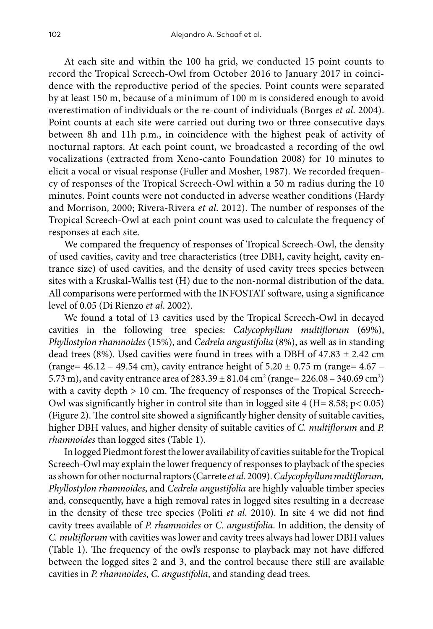At each site and within the 100 ha grid, we conducted 15 point counts to record the Tropical Screech-Owl from October 2016 to January 2017 in coincidence with the reproductive period of the species. Point counts were separated by at least 150 m, because of a minimum of 100 m is considered enough to avoid overestimation of individuals or the re-count of individuals (Borges *et al*. 2004). Point counts at each site were carried out during two or three consecutive days between 8h and 11h p.m., in coincidence with the highest peak of activity of nocturnal raptors. At each point count, we broadcasted a recording of the owl vocalizations (extracted from Xeno-canto Foundation 2008) for 10 minutes to elicit a vocal or visual response (Fuller and Mosher, 1987). We recorded frequency of responses of the Tropical Screech-Owl within a 50 m radius during the 10 minutes. Point counts were not conducted in adverse weather conditions (Hardy and Morrison, 2000; Rivera-Rivera *et al*. 2012). The number of responses of the Tropical Screech-Owl at each point count was used to calculate the frequency of responses at each site.

We compared the frequency of responses of Tropical Screech-Owl, the density of used cavities, cavity and tree characteristics (tree DBH, cavity height, cavity entrance size) of used cavities, and the density of used cavity trees species between sites with a Kruskal-Wallis test (H) due to the non-normal distribution of the data. All comparisons were performed with the INFOSTAT software, using a significance level of 0.05 (Di Rienzo *et al*. 2002).

We found a total of 13 cavities used by the Tropical Screech-Owl in decayed cavities in the following tree species: *Calycophyllum multiflorum* (69%), *Phyllostylon rhamnoides* (15%), and *Cedrela angustifolia* (8%), as well as in standing dead trees (8%). Used cavities were found in trees with a DBH of  $47.83 \pm 2.42$  cm (range=  $46.12 - 49.54$  cm), cavity entrance height of  $5.20 \pm 0.75$  m (range=  $4.67 -$ 5.73 m), and cavity entrance area of 283.39  $\pm 81.04$  cm<sup>2</sup> (range= 226.08 – 340.69 cm<sup>2</sup>) with a cavity depth > 10 cm. The frequency of responses of the Tropical Screech-Owl was significantly higher in control site than in logged site  $4$  (H= 8.58; p< 0.05) (Figure 2). The control site showed a significantly higher density of suitable cavities, higher DBH values, and higher density of suitable cavities of *C. multiflorum* and *P. rhamnoides* than logged sites (Table 1).

In logged Piedmont forest the lower availability of cavities suitable for the Tropical Screech-Owl may explain the lower frequency of responses to playback of the species as shown for other nocturnal raptors (Carrete *et al*. 2009). *Calycophyllum multiflorum, Phyllostylon rhamnoides*, and *Cedrela angustifolia* are highly valuable timber species and, consequently, have a high removal rates in logged sites resulting in a decrease in the density of these tree species (Politi *et al*. 2010). In site 4 we did not find cavity trees available of *P. rhamnoides* or *C. angustifolia*. In addition, the density of *C. multiflorum* with cavities was lower and cavity trees always had lower DBH values (Table 1). The frequency of the owl's response to playback may not have differed between the logged sites 2 and 3, and the control because there still are available cavities in *P. rhamnoides*, *C. angustifolia*, and standing dead trees.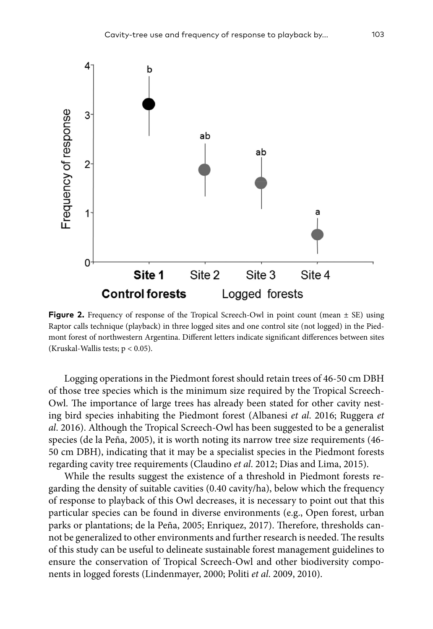

**Figure 2.** Frequency of response of the Tropical Screech-Owl in point count (mean  $\pm$  SE) using Raptor calls technique (playback) in three logged sites and one control site (not logged) in the Piedmont forest of northwestern Argentina. Different letters indicate significant differences between sites (Kruskal-Wallis tests; p < 0.05).

Logging operations in the Piedmont forest should retain trees of 46-50 cm DBH of those tree species which is the minimum size required by the Tropical Screech-Owl. The importance of large trees has already been stated for other cavity nesting bird species inhabiting the Piedmont forest (Albanesi *et al*. 2016; Ruggera *et al*. 2016). Although the Tropical Screech-Owl has been suggested to be a generalist species (de la Peña, 2005), it is worth noting its narrow tree size requirements (46- 50 cm DBH), indicating that it may be a specialist species in the Piedmont forests regarding cavity tree requirements (Claudino *et al*. 2012; Dias and Lima, 2015).

While the results suggest the existence of a threshold in Piedmont forests regarding the density of suitable cavities (0.40 cavity/ha), below which the frequency of response to playback of this Owl decreases, it is necessary to point out that this particular species can be found in diverse environments (e.g., Open forest, urban parks or plantations; de la Peña, 2005; Enriquez, 2017). Therefore, thresholds cannot be generalized to other environments and further research is needed. The results of this study can be useful to delineate sustainable forest management guidelines to ensure the conservation of Tropical Screech-Owl and other biodiversity components in logged forests (Lindenmayer, 2000; Politi *et al*. 2009, 2010).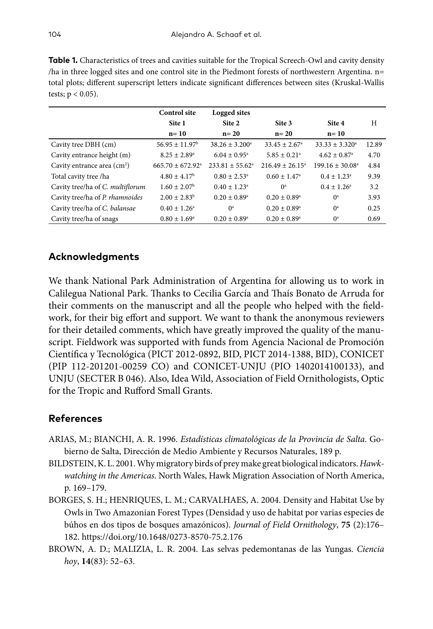| <b>Table 1.</b> Characteristics of trees and cavities suitable for the Tropical Screech-Owl and cavity density |
|----------------------------------------------------------------------------------------------------------------|
| ha in three logged sites and one control site in the Piedmont forests of northwestern Argentina. $n=$          |
| total plots; different superscript letters indicate significant differences between sites (Kruskal-Wallis      |
| tests; $p < 0.05$ ).                                                                                           |

|                                         | <b>Control site</b>            | Logged sites               |                               |                              |       |
|-----------------------------------------|--------------------------------|----------------------------|-------------------------------|------------------------------|-------|
|                                         | Site 1                         | Site 2                     | Site 3                        | Site 4                       | H     |
|                                         | $n=10$                         | $n=20$                     | $n=20$                        | $n=10$                       |       |
| Cavity tree DBH (cm)                    | $56.95 \pm 11.97^{\rm b}$      | $38.26 \pm 3.200^a$        | $33.45 \pm 2.67$ <sup>a</sup> | $33.33 \pm 3.320^a$          | 12.89 |
| Cavity entrance height (m)              | $8.25 \pm 2.89^{\circ}$        | $6.04 \pm 0.95^{\text{a}}$ | $5.85 \pm 0.21$ <sup>a</sup>  | $4.62 \pm 0.87$ <sup>a</sup> | 4.70  |
| Cavity entrance area (cm <sup>2</sup> ) | $665.70 \pm 672.92^{\text{a}}$ | $233.81 + 55.62^a$         | $216.49 \pm 26.15^{\circ}$    | $199.16 \pm 30.08^{\circ}$   | 4.84  |
| Total cavity tree /ha                   | $4.80 \pm 4.17^b$              | $0.80 \pm 2.53^{\circ}$    | $0.60 \pm 1.47$ <sup>a</sup>  | $0.4 \pm 1.23^{\circ}$       | 9.39  |
| Cavity tree/ha of C. multiflorum        | $1.60 \pm 2.07^{\rm b}$        | $0.40 \pm 1.23^{\text{a}}$ | $\mathbf{O}^{\mathrm{a}}$     | $0.4 + 1.26^a$               | 3.2   |
| Cavity tree/ha of P. rhamnoides         | $2.00 \pm 2.83^b$              | $0.20 \pm 0.89^{\circ}$    | $0.20 \pm 0.89^{\rm a}$       | $\mathbf{0}^{\text{a}}$      | 3.93  |
| Cavity tree/ha of C. balansae           | $0.40 \pm 1.26^{\circ}$        | $0^a$                      | $0.20 \pm 0.89^{\rm a}$       | $0^a$                        | 0.25  |
| Cavity tree/ha of snags                 | $0.80 \pm 1.69^{\circ}$        | $0.20 \pm 0.89^{\circ}$    | $0.20 \pm 0.89^{\text{a}}$    | $\mathbf{0}^{\text{a}}$      | 0.69  |

## **Acknowledgments**

We thank National Park Administration of Argentina for allowing us to work in Calilegua National Park. Thanks to Cecilia García and Thaís Bonato de Arruda for their comments on the manuscript and all the people who helped with the fieldwork, for their big effort and support. We want to thank the anonymous reviewers for their detailed comments, which have greatly improved the quality of the manuscript. Fieldwork was supported with funds from Agencia Nacional de Promoción Científica y Tecnológica (PICT 2012-0892, BID, PICT 2014-1388, BID), CONICET (PIP 112-201201-00259 CO) and CONICET-UNJU (PIO 1402014100133), and UNJU (SECTER B 046). Also, Idea Wild, Association of Field Ornithologists, Optic for the Tropic and Rufford Small Grants.

## **References**

- ARIAS, M.; BIANCHI, A. R. 1996. *Estadísticas climatológicas de la Provincia de Salta*. Gobierno de Salta, Dirección de Medio Ambiente y Recursos Naturales, 189 p.
- BILDSTEIN, K. L. 2001. Why migratory birds of prey make great biological indicators. *Hawkwatching in the Americas.* North Wales, Hawk Migration Association of North America, p. 169–179.
- BORGES, S. H.; HENRIQUES, L. M.; CARVALHAES, A. 2004. Density and Habitat Use by Owls in Two Amazonian Forest Types (Densidad y uso de habitat por varias especies de búhos en dos tipos de bosques amazónicos). *Journal of Field Ornithology*, **75** (2):176– 182.<https://doi.org/10.1648/0273-8570-75.2.176>
- BROWN, A. D.; MALIZIA, L. R. 2004. Las selvas pedemontanas de las Yungas. *Ciencia hoy*, **14**(83): 52–63.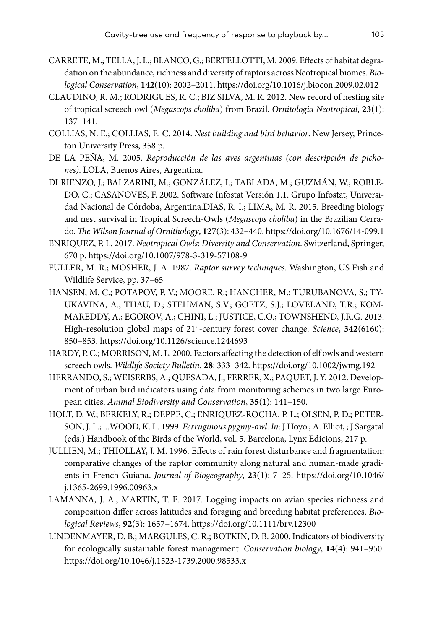- CARRETE, M.; TELLA, J. L.; BLANCO, G.; BERTELLOTTI, M. 2009. Effects of habitat degradation on the abundance, richness and diversity of raptors across Neotropical biomes. *Biological Conservation*, **142**(10): 2002–2011.<https://doi.org/10.1016/j.biocon.2009.02.012>
- CLAUDINO, R. M.; RODRIGUES, R. C.; BIZ SILVA, M. R. 2012. New record of nesting site of tropical screech owl (*Megascops choliba*) from Brazil. *Ornitologia Neotropical*, **23**(1): 137–141.
- COLLIAS, N. E.; COLLIAS, E. C. 2014. *Nest building and bird behavior*. New Jersey, Princeton University Press, 358 p.
- DE LA PEÑA, M. 2005. *Reproducción de las aves argentinas (con descripción de pichones)*. LOLA, Buenos Aires, Argentina.
- DI RIENZO, J.; BALZARINI, M.; GONZÁLEZ, I.; TABLADA, M.; GUZMÁN, W.; ROBLE-DO, C.; CASANOVES, F. 2002. Software Infostat Versión 1.1. Grupo Infostat, Universidad Nacional de Córdoba, Argentina.DIAS, R. I.; LIMA, M. R. 2015. Breeding biology and nest survival in Tropical Screech-Owls (*Megascops choliba*) in the Brazilian Cerrado. *The Wilson Journal of Ornithology*, **127**(3): 432–440.<https://doi.org/10.1676/14-099.1>
- ENRIQUEZ, P. L. 2017. *Neotropical Owls: Diversity and Conservation*. Switzerland, Springer, 670 p. <https://doi.org/10.1007/978-3-319-57108-9>
- FULLER, M. R.; MOSHER, J. A. 1987. *Raptor survey techniques*. Washington, US Fish and Wildlife Service, pp. 37–65
- HANSEN, M. C.; POTAPOV, P. V.; MOORE, R.; HANCHER, M.; TURUBANOVA, S.; TY-UKAVINA, A.; THAU, D.; STEHMAN, S.V.; GOETZ, S.J.; LOVELAND, T.R.; KOM-MAREDDY, A.; EGOROV, A.; CHINI, L.; JUSTICE, C.O.; TOWNSHEND, J.R.G. 2013. High-resolution global maps of 21st-century forest cover change. *Science*, **342**(6160): 850–853. <https://doi.org/10.1126/science.1244693>
- HARDY, P. C.; MORRISON, M. L. 2000. Factors affecting the detection of elf owls and western screech owls. *Wildlife Society Bulletin*, **28**: 333–342. <https://doi.org/10.1002/jwmg.192>
- HERRANDO, S.; WEISERBS, A.; QUESADA, J.; FERRER, X.; PAQUET, J. Y. 2012. Development of urban bird indicators using data from monitoring schemes in two large European cities. *Animal Biodiversity and Conservation*, **35**(1): 141–150.
- HOLT, D. W.; BERKELY, R.; DEPPE, C.; ENRIQUEZ-ROCHA, P. L.; OLSEN, P. D.; PETER-SON, J. L.; ...WOOD, K. L. 1999. *Ferruginous pygmy-owl*. *In*: J.Hoyo ; A. Elliot, ; J.Sargatal (eds.) Handbook of the Birds of the World, vol. 5. Barcelona, Lynx Edicions, 217 p.
- JULLIEN, M.; THIOLLAY, J. M. 1996. Effects of rain forest disturbance and fragmentation: comparative changes of the raptor community along natural and human-made gradients in French Guiana. *Journal of Biogeography*, **23**(1): 7–25. [https://doi.org/10.1046/](https://doi.org/10.1046/j.1365-2699.1996.00963.x) [j.1365-2699.1996.00963.x](https://doi.org/10.1046/j.1365-2699.1996.00963.x)
- LAMANNA, J. A.; MARTIN, T. E. 2017. Logging impacts on avian species richness and composition differ across latitudes and foraging and breeding habitat preferences. *Biological Reviews*, **92**(3): 1657–1674.<https://doi.org/10.1111/brv.12300>
- LINDENMAYER, D. B.; MARGULES, C. R.; BOTKIN, D. B. 2000. Indicators of biodiversity for ecologically sustainable forest management. *Conservation biology*, **14**(4): 941–950. <https://doi.org/10.1046/j.1523-1739.2000.98533.x>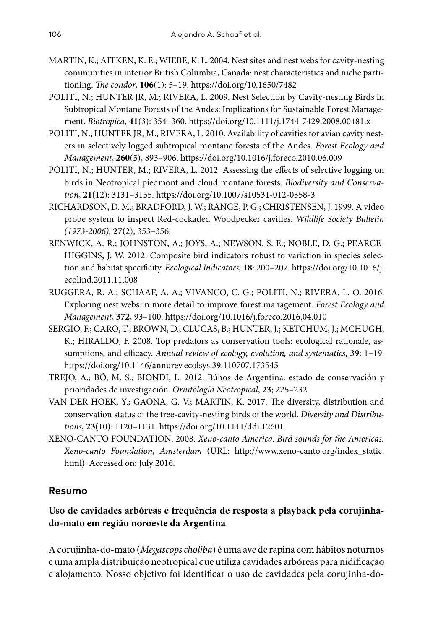- MARTIN, K.; AITKEN, K. E.; WIEBE, K. L. 2004. Nest sites and nest webs for cavity-nesting communities in interior British Columbia, Canada: nest characteristics and niche partitioning. *The condor*, **106**(1): 5–19.<https://doi.org/10.1650/7482>
- POLITI, N.; HUNTER JR, M.; RIVERA, L. 2009. Nest Selection by Cavity‐nesting Birds in Subtropical Montane Forests of the Andes: Implications for Sustainable Forest Management. *Biotropica*, **41**(3): 354–360.<https://doi.org/10.1111/j.1744-7429.2008.00481.x>
- POLITI, N.; HUNTER JR, M.; RIVERA, L. 2010. Availability of cavities for avian cavity nesters in selectively logged subtropical montane forests of the Andes. *Forest Ecology and Management*, **260**(5), 893–906.<https://doi.org/10.1016/j.foreco.2010.06.009>
- POLITI, N.; HUNTER, M.; RIVERA, L. 2012. Assessing the effects of selective logging on birds in Neotropical piedmont and cloud montane forests. *Biodiversity and Conservation*, **21**(12): 3131–3155. <https://doi.org/10.1007/s10531-012-0358-3>
- RICHARDSON, D. M.; BRADFORD, J. W.; RANGE, P. G.; CHRISTENSEN, J. 1999. A video probe system to inspect Red-cockaded Woodpecker cavities. *Wildlife Society Bulletin (1973-2006)*, **27**(2), 353–356.
- RENWICK, A. R.; JOHNSTON, A.; JOYS, A.; NEWSON, S. E.; NOBLE, D. G.; PEARCE-HIGGINS, J. W. 2012. Composite bird indicators robust to variation in species selection and habitat specificity. *Ecological Indicators*, **18**: 200–207. [https://doi.org/10.1016/j.](https://doi.org/10.1016/j.ecolind.2011.11.008) [ecolind.2011.11.008](https://doi.org/10.1016/j.ecolind.2011.11.008)
- RUGGERA, R. A.; SCHAAF, A. A.; VIVANCO, C. G.; POLITI, N.; RIVERA, L. O. 2016. Exploring nest webs in more detail to improve forest management. *Forest Ecology and Management*, **372**, 93–100. <https://doi.org/10.1016/j.foreco.2016.04.010>
- SERGIO, F.; CARO, T.; BROWN, D.; CLUCAS, B.; HUNTER, J.; KETCHUM, J.; MCHUGH, K.; HIRALDO, F. 2008. Top predators as conservation tools: ecological rationale, assumptions, and efficacy. *Annual review of ecology, evolution, and systematics*, **39**: 1–19. <https://doi.org/10.1146/annurev.ecolsys.39.110707.173545>
- TREJO, A.; BÓ, M. S.; BIONDI, L. 2012. Búhos de Argentina: estado de conservación y prioridades de investigación. *Ornitología Neotropical*, **23**; 225–232.
- VAN DER HOEK, Y.; GAONA, G. V.; MARTIN, K. 2017. The diversity, distribution and conservation status of the tree‐cavity‐nesting birds of the world. *Diversity and Distributions*, **23**(10): 1120–1131.<https://doi.org/10.1111/ddi.12601>
- XENO-CANTO FOUNDATION. 2008. *Xeno-canto America. Bird sounds for the Americas. Xeno-canto Foundation, Amsterdam* (URL: [http://www.xeno-canto.org/index\\_static.](http://www.xeno-canto.org/index_static.html) [html](http://www.xeno-canto.org/index_static.html)). Accessed on: July 2016.

# **Resumo**

# **Uso de cavidades arbóreas e frequência de resposta a playback pela corujinhado-mato em região noroeste da Argentina**

A corujinha-do-mato (*Megascops choliba*) é uma ave de rapina com hábitos noturnos e uma ampla distribuição neotropical que utiliza cavidades arbóreas para nidificação e alojamento. Nosso objetivo foi identificar o uso de cavidades pela corujinha-do